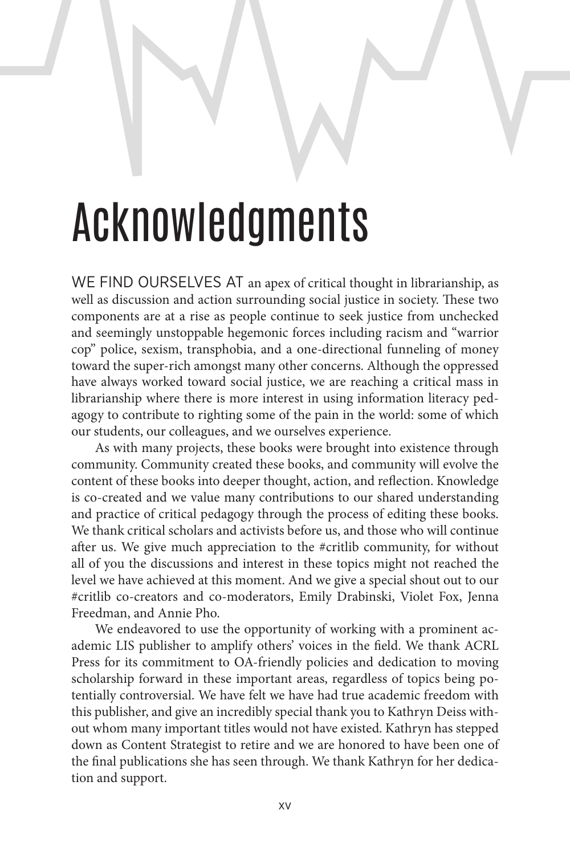## Acknowledgments

WE FIND OURSELVES AT an apex of critical thought in librarianship, as well as discussion and action surrounding social justice in society. These two components are at a rise as people continue to seek justice from unchecked and seemingly unstoppable hegemonic forces including racism and "warrior cop" police, sexism, transphobia, and a one-directional funneling of money toward the super-rich amongst many other concerns. Although the oppressed have always worked toward social justice, we are reaching a critical mass in librarianship where there is more interest in using information literacy pedagogy to contribute to righting some of the pain in the world: some of which our students, our colleagues, and we ourselves experience.

As with many projects, these books were brought into existence through community. Community created these books, and community will evolve the content of these books into deeper thought, action, and reflection. Knowledge is co-created and we value many contributions to our shared understanding and practice of critical pedagogy through the process of editing these books. We thank critical scholars and activists before us, and those who will continue after us. We give much appreciation to the #critlib community, for without all of you the discussions and interest in these topics might not reached the level we have achieved at this moment. And we give a special shout out to our #critlib co-creators and co-moderators, Emily Drabinski, Violet Fox, Jenna Freedman, and Annie Pho.

We endeavored to use the opportunity of working with a prominent academic LIS publisher to amplify others' voices in the field. We thank ACRL Press for its commitment to OA-friendly policies and dedication to moving scholarship forward in these important areas, regardless of topics being potentially controversial. We have felt we have had true academic freedom with this publisher, and give an incredibly special thank you to Kathryn Deiss without whom many important titles would not have existed. Kathryn has stepped down as Content Strategist to retire and we are honored to have been one of the final publications she has seen through. We thank Kathryn for her dedication and support.